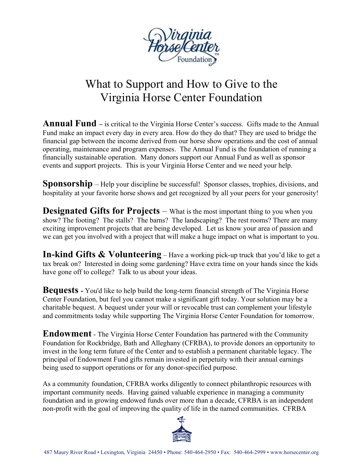

# What to Support and How to Give to the Virginia Horse Center Foundation

**Annual Fund –** is critical to the Virginia Horse Center's success. Gifts made to the Annual Fund make an impact every day in every area. How do they do that? They are used to bridge the financial gap between the income derived from our horse show operations and the cost of annual operating, maintenance and program expenses. The Annual Fund is the foundation of running a financially sustainable operation. Many donors support our Annual Fund as well as sponsor events and support projects. This is your Virginia Horse Center and we need your help.

**Sponsorship** – Help your discipline be successful! Sponsor classes, trophies, divisions, and hospitality at your favorite horse shows and get recognized by all your peers for your generosity!

**Designated Gifts for Projects** – What is the most important thing to you when you show? The footing? The stalls? The barns? The landscaping? The rest rooms? There are many exciting improvement projects that are being developed. Let us know your area of passion and we can get you involved with a project that will make a huge impact on what is important to you.

**In-kind Gifts & Volunteering** – Have a working pick-up truck that you'd like to get a tax break on? Interested in doing some gardening? Have extra time on your hands since the kids have gone off to college? Talk to us about your ideas.

**Bequests -** You'd like to help build the long-term financial strength of The Virginia Horse Center Foundation, but feel you cannot make a significant gift today. Your solution may be a charitable bequest. A bequest under your will or revocable trust can complement your lifestyle and commitments today while supporting The Virginia Horse Center Foundation for tomorrow.

**Endowment** - The Virginia Horse Center Foundation has partnered with the Community Foundation for Rockbridge, Bath and Alleghany (CFRBA), to provide donors an opportunity to invest in the long term future of the Center and to establish a permanent charitable legacy. The principal of Endowment Fund gifts remain invested in perpetuity with their annual earnings being used to support operations or for any donor-specified purpose.

As a community foundation, CFRBA works diligently to connect philanthropic resources with important community needs. Having gained valuable experience in managing a community foundation and in growing endowed funds over more than a decade, CFRBA is an independent non-profit with the goal of improving the quality of life in the named communities. CFRBA

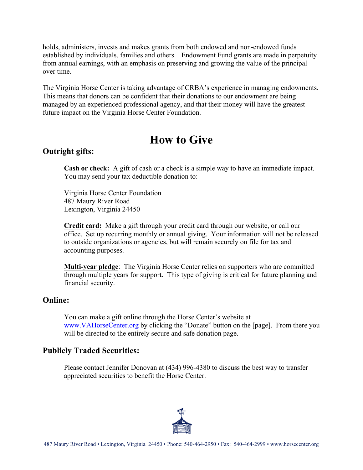holds, administers, invests and makes grants from both endowed and non-endowed funds established by individuals, families and others. Endowment Fund grants are made in perpetuity from annual earnings, with an emphasis on preserving and growing the value of the principal over time.

The Virginia Horse Center is taking advantage of CRBA's experience in managing endowments. This means that donors can be confident that their donations to our endowment are being managed by an experienced professional agency, and that their money will have the greatest future impact on the Virginia Horse Center Foundation.

## **How to Give**

## **Outright gifts:**

**Cash or check:** A gift of cash or a check is a simple way to have an immediate impact. You may send your tax deductible donation to:

Virginia Horse Center Foundation 487 Maury River Road Lexington, Virginia 24450

**Credit card:** Make a gift through your credit card through our website, or call our office. Set up recurring monthly or annual giving. Your information will not be released to outside organizations or agencies, but will remain securely on file for tax and accounting purposes.

**Multi-year pledge**: The Virginia Horse Center relies on supporters who are committed through multiple years for support. This type of giving is critical for future planning and financial security.

#### **Online:**

You can make a gift online through the Horse Center's website at www.VAHorseCenter.org by clicking the "Donate" button on the [page]. From there you will be directed to the entirely secure and safe donation page.

#### **Publicly Traded Securities:**

Please contact Jennifer Donovan at (434) 996-4380 to discuss the best way to transfer appreciated securities to benefit the Horse Center.